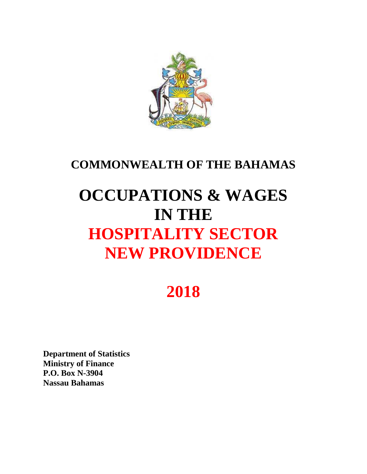

## **COMMONWEALTH OF THE BAHAMAS**

# **OCCUPATIONS & WAGES IN THE HOSPITALITY SECTOR NEW PROVIDENCE**

## **2018**

**Department of Statistics Ministry of Finance P.O. Box N-3904 Nassau Bahamas**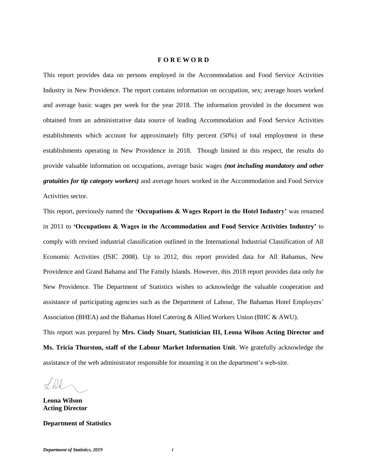#### **F O R E W O R D**

This report provides data on persons employed in the Accommodation and Food Service Activities Industry in New Providence. The report contains information on occupation, sex; average hours worked and average basic wages per week for the year 2018. The information provided in the document was obtained from an administrative data source of leading Accommodation and Food Service Activities establishments which account for approximately fifty percent (50%) of total employment in these establishments operating in New Providence in 2018. Though limited in this respect, the results do provide valuable information on occupations, average basic wages *(not including mandatory and other gratuities for tip category workers)* and average hours worked in the Accommodation and Food Service Activities sector.

This report, previously named the **'Occupations & Wages Report in the Hotel Industry'** was renamed in 2011 to **'Occupations & Wages in the Accommodation and Food Service Activities Industry'** to comply with revised industrial classification outlined in the International Industrial Classification of All Economic Activities (ISIC 2008). Up to 2012, this report provided data for All Bahamas, New Providence and Grand Bahama and The Family Islands. However, this 2018 report provides data only for New Providence. The Department of Statistics wishes to acknowledge the valuable cooperation and assistance of participating agencies such as the Department of Labour, The Bahamas Hotel Employers' Association (BHEA) and the Bahamas Hotel Catering & Allied Workers Union (BHC & AWU). This report was prepared by **Mrs. Cindy Stuart, Statistician III, Leona Wilson Acting Director and** 

**Ms. Tricia Thurston, staff of the Labour Market Information Unit**. We gratefully acknowledge the assistance of the web administrator responsible for mounting it on the department's web-site.

 $\chi/d$ 

**Leona Wilson Acting Director**

**Department of Statistics**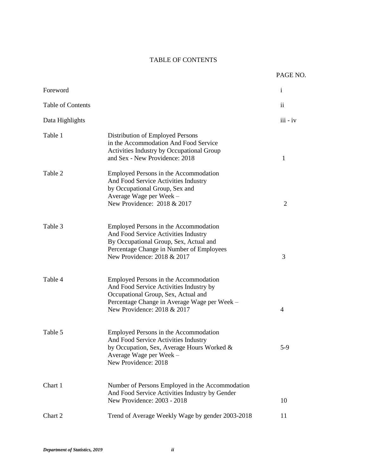## TABLE OF CONTENTS

|                   |                                                                                                                                                                                                        | PAGE NO.       |
|-------------------|--------------------------------------------------------------------------------------------------------------------------------------------------------------------------------------------------------|----------------|
| Foreword          |                                                                                                                                                                                                        | $\mathbf{i}$   |
| Table of Contents |                                                                                                                                                                                                        | $\mathbf{ii}$  |
| Data Highlights   |                                                                                                                                                                                                        | $iii - iv$     |
| Table 1           | Distribution of Employed Persons<br>in the Accommodation And Food Service<br>Activities Industry by Occupational Group<br>and Sex - New Providence: 2018                                               | 1              |
| Table 2           | Employed Persons in the Accommodation<br>And Food Service Activities Industry<br>by Occupational Group, Sex and<br>Average Wage per Week -<br>New Providence: 2018 & 2017                              | $\overline{2}$ |
| Table 3           | Employed Persons in the Accommodation<br>And Food Service Activities Industry<br>By Occupational Group, Sex, Actual and<br>Percentage Change in Number of Employees<br>New Providence: 2018 & 2017     | 3              |
| Table 4           | Employed Persons in the Accommodation<br>And Food Service Activities Industry by<br>Occupational Group, Sex, Actual and<br>Percentage Change in Average Wage per Week -<br>New Providence: 2018 & 2017 | 4              |
| Table 5           | Employed Persons in the Accommodation<br>And Food Service Activities Industry<br>by Occupation, Sex, Average Hours Worked &<br>Average Wage per Week -<br>New Providence: 2018                         | $5-9$          |
| Chart 1           | Number of Persons Employed in the Accommodation<br>And Food Service Activities Industry by Gender<br>New Providence: 2003 - 2018                                                                       | 10             |
| Chart 2           | Trend of Average Weekly Wage by gender 2003-2018                                                                                                                                                       | 11             |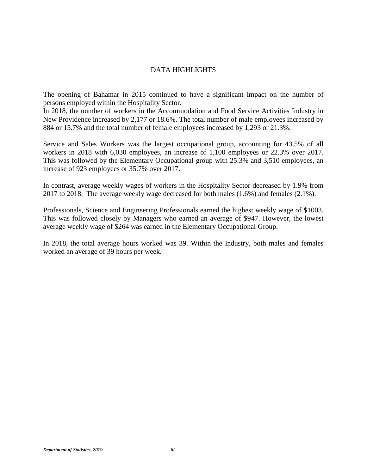## DATA HIGHLIGHTS

The opening of Bahamar in 2015 continued to have a significant impact on the number of persons employed within the Hospitality Sector.

In 2018, the number of workers in the Accommodation and Food Service Activities Industry in New Providence increased by 2,177 or 18.6%. The total number of male employees increased by 884 or 15.7% and the total number of female employees increased by 1,293 or 21.3%.

Service and Sales Workers was the largest occupational group, accounting for 43.5% of all workers in 2018 with 6,030 employees, an increase of 1,100 employees or 22.3% over 2017. This was followed by the Elementary Occupational group with 25.3% and 3,510 employees, an increase of 923 employees or 35.7% over 2017.

In contrast, average weekly wages of workers in the Hospitality Sector decreased by 1.9% from 2017 to 2018. The average weekly wage decreased for both males (1.6%) and females (2.1%).

Professionals, Science and Engineering Professionals earned the highest weekly wage of \$1003. This was followed closely by Managers who earned an average of \$947. However, the lowest average weekly wage of \$264 was earned in the Elementary Occupational Group.

In 2018, the total average hours worked was 39. Within the Industry, both males and females worked an average of 39 hours per week.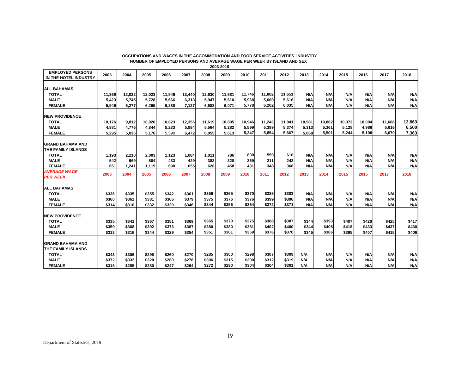| <b>EMPLOYED PERSONS</b><br>IN THE HOTEL INDUSTRY | 2003            | 2004           | 2005            | 2006   | 2007            | 2008            | 2009            | 2010   | 2011   | 2012   | 2013            | 2014            | 2015            | 2016       | 2017   | 2018            |
|--------------------------------------------------|-----------------|----------------|-----------------|--------|-----------------|-----------------|-----------------|--------|--------|--------|-----------------|-----------------|-----------------|------------|--------|-----------------|
|                                                  |                 |                |                 |        |                 |                 |                 |        |        |        |                 |                 |                 |            |        |                 |
| <b>ALL BAHAMAS</b>                               |                 |                |                 |        |                 |                 |                 |        |        |        |                 |                 |                 |            |        |                 |
| <b>TOTAL</b>                                     | 11,369          | 12,022         | 12,023          | 11,946 | 13,440          | 12,630          | 11,681          | 11,746 | 11,802 | 11,651 | <b>N/A</b>      | N/A             | N/A             | N/A        | N/A    | N/A             |
| <b>MALE</b>                                      | 5,423           | 5,745          | 5,728           | 5,666  | 6,313           | 5,947           | 5,610           | 5,968  | 5.600  | 5,616  | N/A             | N/A             | N/A             | <b>N/A</b> | N/A    | N/A             |
| <b>FEMALE</b>                                    | 5,946           | 6.277          | 6.295           | 6.280  | 7,127           | 6,683           | 6.071           | 5,778  | 6.202  | 6,035  | N/A             | N/A             | N/A             | N/A        | N/A    | N/A             |
| <b>INEW PROVIDENCE</b>                           |                 |                |                 |        |                 |                 |                 |        |        |        |                 |                 |                 |            |        |                 |
|                                                  |                 |                |                 |        |                 |                 |                 | 10,946 | 11,243 | 11,041 |                 |                 |                 | 10,094     | 11,686 |                 |
| <b>TOTAL</b><br><b>MALE</b>                      | 10,176<br>4,881 | 9,812<br>4,776 | 10,020<br>4,844 | 10,823 | 12,356<br>5,884 | 11,619<br>5,564 | 10,895<br>5,282 | 5,599  | 5,389  | 5.374  | 10,981<br>5,313 | 10,862<br>5,361 | 10,372<br>5,128 | 4,986      | 5.616  | 13,863<br>6,500 |
|                                                  |                 |                |                 | 5,233  | 6,472           |                 | 5,613           | 5,347  | 5,854  | 5,667  |                 | 5,501           | 5,244           | 5,108      | 6.070  |                 |
| <b>FEMALE</b>                                    | 5,295           | 5,036          | 5,176           | 5,590  |                 | 6,055           |                 |        |        |        | 5,668           |                 |                 |            |        | 7,363           |
| <b>GRAND BAHAMA AND</b>                          |                 |                |                 |        |                 |                 |                 |        |        |        |                 |                 |                 |            |        |                 |
| <b>THE FAMILY ISLANDS</b>                        |                 |                |                 |        |                 |                 |                 |        |        |        |                 |                 |                 |            |        |                 |
| <b>TOTAL</b>                                     | 1,193           | 2,210          | 2,003           | 1,123  | 1,084           | 1,011           | 786             | 800    | 559    | 610    | <b>N/A</b>      | N/A             | N/A             | N/A        | N/A    | N/A             |
| <b>MALE</b>                                      | 542             | 969            | 884             | 433    | 429             | 383             | 328             | 369    | 211    | 242    | N/A             | N/A             | N/A             | N/A        | N/A    | N/A             |
| <b>FEMALE</b>                                    | 651             | 1,241          | 1,119           | 690    | 655             | 628             | 458             | 431    | 348    | 368    | N/A             | N/A             | N/A             | <b>N/A</b> | N/A    | N/A             |
| <b>AVERAGE WAGE</b><br><b>PER WEEK</b>           | 2003            | 2004           | 2005            | 2006   | 2007            | 2008            | 2009            | 2010   | 2011   | 2012   | 2013            | 2014            | 2015            | 2016       | 2017   | 2018            |
|                                                  |                 |                |                 |        |                 |                 |                 |        |        |        |                 |                 |                 |            |        |                 |
| <b>ALL BAHAMAS</b>                               |                 |                |                 |        |                 |                 |                 |        |        |        |                 |                 |                 |            |        |                 |
| <b>TOTAL</b>                                     | \$336           | \$335          | \$355           | \$342  | \$361           | \$359           | \$365           | \$370  | \$385  | \$383  | N/A             | N/A             | N/A             | N/A        | N/A    | N/A             |
| <b>MALE</b>                                      | \$360           | \$362          | \$381           | \$366  | \$379           | \$375           | \$376           | \$376  | \$399  | \$396  | N/A             | N/A             | N/A             | N/A        | N/A    | N/A             |
| <b>FEMALE</b>                                    | \$314           | \$310          | \$332           | \$320  | \$346           | \$344           | \$356           | \$364  | \$372  | \$371  | N/A             | N/A             | N/A             | N/A        | N/A    | N/A             |
| <b>INEW PROVIDENCE</b>                           |                 |                |                 |        |                 |                 |                 |        |        |        |                 |                 |                 |            |        |                 |
| <b>TOTAL</b>                                     | \$335           | \$341          | \$367           | \$351  | \$369           | \$365           | \$370           | \$375  | \$388  | \$387  | \$344           | \$393           | \$407           | \$420      | \$425  | \$417           |
| <b>MALE</b>                                      | \$359           | \$368          | \$392           | \$373  | \$387           | \$380           | \$380           | \$381  | \$402  | \$400  | \$344           | \$408           | \$418           | \$433      | \$437  | \$430           |
| <b>FEMALE</b>                                    | \$313           | \$316          | \$344           | \$329  | \$354           | \$351           | \$361           | \$369  | \$376  | \$376  | \$345           | \$386           | \$395           | \$407      | \$415  | \$406           |
|                                                  |                 |                |                 |        |                 |                 |                 |        |        |        |                 |                 |                 |            |        |                 |
| <b>GRAND BAHAMA AND</b>                          |                 |                |                 |        |                 |                 |                 |        |        |        |                 |                 |                 |            |        |                 |
| THE FAMILY ISLANDS                               |                 |                |                 |        |                 |                 |                 |        |        |        |                 |                 |                 |            |        |                 |
| <b>TOTAL</b>                                     | \$343           | \$306          | \$298           | \$260  | \$270           | \$285           | \$300           | \$298  | \$307  | \$309  | N/A             | N/A             | N/A             | N/A        | N/A    | N/A             |
| <b>MALE</b>                                      | \$372           | \$332          | \$320           | \$280  | \$278           | \$306           | \$315           | \$290  | \$312  | \$319  | N/A             | N/A             | N/A             | N/A        | N/A    | N/A             |
| <b>FEMALE</b>                                    | \$318           | \$285          | \$280           | \$247  | \$264           | \$272           | \$290           | \$304  | \$304  | \$301  | N/A             | N/A             | N/A             | N/A        | N/A    | N/A             |

#### **OCCUPATIONS AND WAGES IN THE ACCOMMODATION AND FOOD SERVICE ACTIVITIES INDUSTRY NUMBER OF EMPLOYED PERSONS AND AVERAGE WAGE PER WEEK BY ISLAND AND SEX 2003-2018**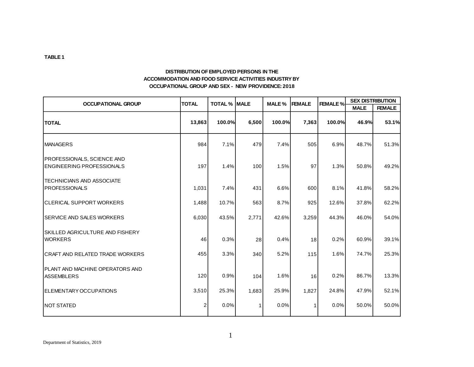#### **DISTRIBUTION OF EMPLOYED PERSONS IN THE ACCOMMODATION AND FOOD SERVICE ACTIVITIES INDUSTRY BY OCCUPATIONAL GROUP AND SEX - NEW PROVIDENCE: 2018**

| <b>OCCUPATIONAL GROUP</b>                                      | <b>TOTAL</b> | <b>TOTAL % MALE</b> |              | MALE % | <b>FEMALE</b> | <b>FEMALE %</b> | <b>SEX DISTRIBUTION</b> |               |
|----------------------------------------------------------------|--------------|---------------------|--------------|--------|---------------|-----------------|-------------------------|---------------|
|                                                                |              |                     |              |        |               |                 | <b>MALE</b>             | <b>FEMALE</b> |
| <b>TOTAL</b>                                                   | 13,863       | 100.0%              | 6,500        | 100.0% | 7,363         | 100.0%          | 46.9%                   | 53.1%         |
| <b>MANAGERS</b>                                                | 984          | 7.1%                | 479          | 7.4%   | 505           | 6.9%            | 48.7%                   | 51.3%         |
| PROFESSIONALS, SCIENCE AND<br><b>ENGINEERING PROFESSIONALS</b> | 197          | 1.4%                | 100          | 1.5%   | 97            | 1.3%            | 50.8%                   | 49.2%         |
| TECHNICIANS AND ASSOCIATE<br>PROFESSIONALS                     | 1,031        | 7.4%                | 431          | 6.6%   | 600           | 8.1%            | 41.8%                   | 58.2%         |
| ICLERICAL SUPPORT WORKERS                                      | 1,488        | 10.7%               | 563          | 8.7%   | 925           | 12.6%           | 37.8%                   | 62.2%         |
| <b>SERVICE AND SALES WORKERS</b>                               | 6,030        | 43.5%               | 2,771        | 42.6%  | 3,259         | 44.3%           | 46.0%                   | 54.0%         |
| <b>SKILLED AGRICULTURE AND FISHERY</b><br><b>WORKERS</b>       | 46           | 0.3%                | 28           | 0.4%   | 18            | 0.2%            | 60.9%                   | 39.1%         |
| <b>CRAFT AND RELATED TRADE WORKERS</b>                         | 455          | 3.3%                | 340          | 5.2%   | 115           | 1.6%            | 74.7%                   | 25.3%         |
| PLANT AND MACHINE OPERATORS AND<br><b>ASSEMBLERS</b>           | 120          | 0.9%                | 104          | 1.6%   | 16            | 0.2%            | 86.7%                   | 13.3%         |
| <b>IELEMENTARY OCCUPATIONS</b>                                 | 3,510        | 25.3%               | 1,683        | 25.9%  | 1,827         | 24.8%           | 47.9%                   | 52.1%         |
| INOT STATED                                                    | 2            | 0.0%                | $\mathbf{1}$ | 0.0%   |               | 0.0%            | 50.0%                   | 50.0%         |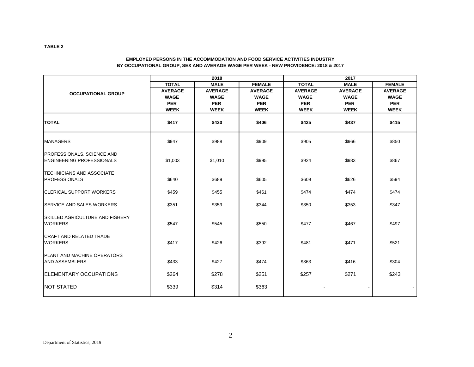|                                                                       |                | 2018           |                | 2017           |                |                |  |  |  |
|-----------------------------------------------------------------------|----------------|----------------|----------------|----------------|----------------|----------------|--|--|--|
|                                                                       | <b>TOTAL</b>   | <b>MALE</b>    | <b>FEMALE</b>  | <b>TOTAL</b>   | <b>MALE</b>    | <b>FEMALE</b>  |  |  |  |
| <b>OCCUPATIONAL GROUP</b>                                             | <b>AVERAGE</b> | <b>AVERAGE</b> | <b>AVERAGE</b> | <b>AVERAGE</b> | <b>AVERAGE</b> | <b>AVERAGE</b> |  |  |  |
|                                                                       | <b>WAGE</b>    | <b>WAGE</b>    | <b>WAGE</b>    | <b>WAGE</b>    | <b>WAGE</b>    | <b>WAGE</b>    |  |  |  |
|                                                                       | <b>PER</b>     | <b>PER</b>     | <b>PER</b>     | <b>PER</b>     | <b>PER</b>     | <b>PER</b>     |  |  |  |
|                                                                       | <b>WEEK</b>    | <b>WEEK</b>    | <b>WEEK</b>    | <b>WEEK</b>    | <b>WEEK</b>    | <b>WEEK</b>    |  |  |  |
|                                                                       |                |                |                |                |                |                |  |  |  |
| <b>TOTAL</b>                                                          | \$417          | \$430          | \$406          | \$425          | \$437          | \$415          |  |  |  |
| <b>MANAGERS</b>                                                       | \$947          | \$988          | \$909          | \$905          | \$966          | \$850          |  |  |  |
| <b>PROFESSIONALS, SCIENCE AND</b><br><b>ENGINEERING PROFESSIONALS</b> | \$1,003        | \$1,010        | \$995          | \$924          | \$983          | \$867          |  |  |  |
| <b>TECHNICIANS AND ASSOCIATE</b><br><b>PROFESSIONALS</b>              | \$640          | \$689          | \$605          | \$609          | \$626          | \$594          |  |  |  |
| <b>ICLERICAL SUPPORT WORKERS</b>                                      | \$459          | \$455          | \$461          | \$474          | \$474          | \$474          |  |  |  |
| <b>ISERVICE AND SALES WORKERS</b>                                     | \$351          | \$359          | \$344          | \$350          | \$353          | \$347          |  |  |  |
| <b>ISKILLED AGRICULTURE AND FISHERY</b><br><b>WORKERS</b>             | \$547          | \$545          | \$550          | \$477          | \$467          | \$497          |  |  |  |
| <b>CRAFT AND RELATED TRADE</b><br><b>WORKERS</b>                      | \$417          | \$426          | \$392          | \$481          | \$471          | \$521          |  |  |  |
| <b>IPLANT AND MACHINE OPERATORS</b><br><b>AND ASSEMBLERS</b>          | \$433          | \$427          | \$474          | \$363          | \$416          | \$304          |  |  |  |
| <b>IELEMENTARY OCCUPATIONS</b>                                        | \$264          | \$278          | \$251          | \$257          | \$271          | \$243          |  |  |  |
| <b>NOT STATED</b>                                                     | \$339          | \$314          | \$363          |                |                |                |  |  |  |

#### **EMPLOYED PERSONS IN THE ACCOMMODATION AND FOOD SERVICE ACTIVITIES INDUSTRY BY OCCUPATIONAL GROUP, SEX AND AVERAGE WAGE PER WEEK - NEW PROVIDENCE: 2018 & 2017**

**TABLE 2**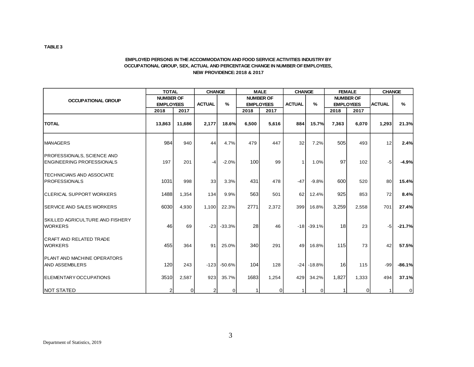#### **EMPLOYED PERSONS IN THE ACCOMMODATION AND FOOD SERVICE ACTIVITIES INDUSTRY BY OCCUPATIONAL GROUP, SEX, ACTUAL AND PERCENTAGE CHANGE IN NUMBER OF EMPLOYEES, NEW PROVIDENCE: 2018 & 2017**

|                                                                        |                  | <b>TOTAL</b> |                | <b>CHANGE</b> |       | <b>MALE</b>      |                 | <b>CHANGE</b>    |       | <b>FEMALE</b>    |               | <b>CHANGE</b> |
|------------------------------------------------------------------------|------------------|--------------|----------------|---------------|-------|------------------|-----------------|------------------|-------|------------------|---------------|---------------|
| <b>OCCUPATIONAL GROUP</b>                                              | <b>NUMBER OF</b> |              |                |               |       | <b>NUMBER OF</b> |                 |                  |       | <b>NUMBER OF</b> |               |               |
|                                                                        | <b>EMPLOYEES</b> |              | <b>ACTUAL</b>  | $\%$          |       | <b>EMPLOYEES</b> | <b>ACTUAL</b>   | $\frac{9}{6}$    |       | <b>EMPLOYEES</b> | <b>ACTUAL</b> | $\%$          |
|                                                                        | 2018             | 2017         |                |               | 2018  | 2017             |                 |                  | 2018  | 2017             |               |               |
| <b>TOTAL</b>                                                           | 13,863           | 11,686       | 2,177          | 18.6%         | 6,500 | 5,616            | 884             | 15.7%            | 7,363 | 6,070            | 1,293         | 21.3%         |
| <b>IMANAGERS</b>                                                       | 984              | 940          | 44             | 4.7%          | 479   | 447              | 32              | 7.2%             | 505   | 493              | 12            | 2.4%          |
| <b>PROFESSIONALS, SCIENCE AND</b><br><b>IENGINEERING PROFESSIONALS</b> | 197              | 201          | -4             | $-2.0%$       | 100   | 99               | $\mathbf{1}$    | 1.0%             | 97    | 102              | $-5$          | $-4.9%$       |
| <b>TECHNICIANS AND ASSOCIATE</b><br>PROFESSIONALS                      | 1031             | 998          | 33             | 3.3%          | 431   | 478              | $-47$           | $-9.8%$          | 600   | 520              | 80            | 15.4%         |
| <b>ICLERICAL SUPPORT WORKERS</b>                                       | 1488             | 1,354        | 134            | 9.9%          | 563   | 501              | 62              | 12.4%            | 925   | 853              | 72            | 8.4%          |
| <b>ISERVICE AND SALES WORKERS</b>                                      | 6030             | 4,930        | 1,100          | 22.3%         | 2771  | 2,372            | 399             | 16.8%            | 3,259 | 2,558            | 701           | 27.4%         |
| <b>SKILLED AGRICULTURE AND FISHERY</b><br><b>WORKERS</b>               | 46               | 69           | $-23$          | $-33.3%$      | 28    | 46               |                 | $-18$ . $-39.1%$ | 18    | 23               | $-5$          | $-21.7%$      |
| <b>CRAFT AND RELATED TRADE</b><br><b>WORKERS</b>                       | 455              | 364          | 91             | 25.0%         | 340   | 291              | 49 <sub>l</sub> | 16.8%            | 115   | 73               | 42            | 57.5%         |
| <b>PLANT AND MACHINE OPERATORS</b><br><b>AND ASSEMBLERS</b>            | 120              | 243          | $-123$         | -50.6%        | 104   | 128              |                 | $-24$ $-18.8%$   | 16    | 115              | $-99$         | $-86.1%$      |
| ELEMENTARY OCCUPATIONS                                                 | 3510             | 2,587        | 923            | 35.7%         | 1683  | 1,254            | 429             | 34.2%            | 1,827 | 1,333            | 494           | 37.1%         |
| <b>NOT STATED</b>                                                      |                  | 0            | $\overline{c}$ | $\mathbf 0$   |       | $\Omega$         | 11              | $\overline{0}$   | 1     | $\Omega$         |               | 0             |

**TABLE 3**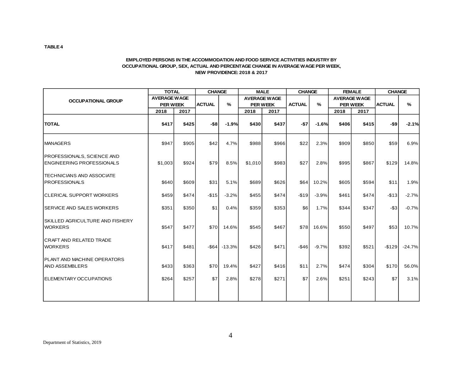#### **EMPLOYED PERSONS IN THE ACCOMMODATION AND FOOD SERVICE ACTIVITIES INDUSTRY BY OCCUPATIONAL GROUP, SEX, ACTUAL AND PERCENTAGE CHANGE IN AVERAGE WAGE PER WEEK, NEW PROVIDENCE: 2018 & 2017**

|                                                                        | <b>TOTAL</b>        |       | <b>CHANGE</b> |               |         | <b>MALE</b>         | <b>CHANGE</b> |               | <b>FEMALE</b> |                     | <b>CHANGE</b> |               |
|------------------------------------------------------------------------|---------------------|-------|---------------|---------------|---------|---------------------|---------------|---------------|---------------|---------------------|---------------|---------------|
| <b>OCCUPATIONAL GROUP</b>                                              | <b>AVERAGE WAGE</b> |       |               |               |         | <b>AVERAGE WAGE</b> |               |               |               | <b>AVERAGE WAGE</b> |               |               |
|                                                                        | <b>PER WEEK</b>     |       | <b>ACTUAL</b> | $\frac{9}{6}$ |         | <b>PER WEEK</b>     | <b>ACTUAL</b> | $\frac{9}{6}$ |               | <b>PER WEEK</b>     | <b>ACTUAL</b> | $\frac{9}{6}$ |
|                                                                        | 2018                | 2017  |               |               | 2018    | 2017                |               |               | 2018          | 2017                |               |               |
| <b>TOTAL</b>                                                           | \$417               | \$425 | $-$ \$8       | $-1.9%$       | \$430   | \$437               | $-57$         | $-1.6%$       | \$406         | \$415               | $-$ \$9       | $-2.1%$       |
| <b>MANAGERS</b>                                                        | \$947               | \$905 | \$42          | 4.7%          | \$988   | \$966               | \$22          | 2.3%          | \$909         | \$850               | \$59          | 6.9%          |
| <b>PROFESSIONALS, SCIENCE AND</b><br><b>IENGINEERING PROFESSIONALS</b> | \$1,003             | \$924 | \$79          | 8.5%          | \$1,010 | \$983               | \$27          | 2.8%          | \$995         | \$867               | \$129         | 14.8%         |
| <b>TECHNICIANS AND ASSOCIATE</b><br>PROFESSIONALS                      | \$640               | \$609 | \$31          | 5.1%          | \$689   | \$626               | \$64          | 10.2%         | \$605         | \$594               | \$11          | 1.9%          |
| <b>CLERICAL SUPPORT WORKERS</b>                                        | \$459               | \$474 | $-$15$        | $-3.2%$       | \$455   | \$474               | $-$19$        | $-3.9%$       | \$461         | \$474               | $-$13$        | $-2.7%$       |
| <b>ISERVICE AND SALES WORKERS</b>                                      | \$351               | \$350 | \$1           | 0.4%          | \$359   | \$353               | \$6           | 1.7%          | \$344         | \$347               | $-$ \$3       | $-0.7%$       |
| ISKILLED AGRICULTURE AND FISHERY<br><b>WORKERS</b>                     | \$547               | \$477 | \$70          | 14.6%         | \$545   | \$467               | \$78          | 16.6%         | \$550         | \$497               | \$53          | 10.7%         |
| <b>CRAFT AND RELATED TRADE</b><br><b>WORKERS</b>                       | \$417               | \$481 | $-$ \$64      | $-13.3%$      | \$426   | \$471               | $-$46$        | $-9.7%$       | \$392         | \$521               | $-$129$       | $-24.7%$      |
| <b>PLANT AND MACHINE OPERATORS</b><br><b>AND ASSEMBLERS</b>            | \$433               | \$363 | \$70          | 19.4%         | \$427   | \$416               | \$11          | 2.7%          | \$474         | \$304               | \$170         | 56.0%         |
| ELEMENTARY OCCUPATIONS                                                 | \$264               | \$257 | \$7           | 2.8%          | \$278   | \$271               | \$7           | 2.6%          | \$251         | \$243               | \$7           | 3.1%          |
|                                                                        |                     |       |               |               |         |                     |               |               |               |                     |               |               |

**TABLE 4**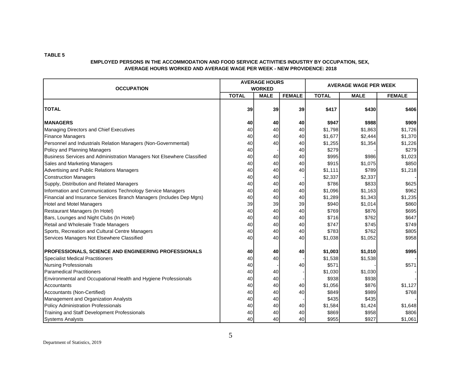| <b>OCCUPATION</b>                                                      |              | <b>AVERAGE HOURS</b><br><b>WORKED</b> |               | <b>AVERAGE WAGE PER WEEK</b> |             |               |  |
|------------------------------------------------------------------------|--------------|---------------------------------------|---------------|------------------------------|-------------|---------------|--|
|                                                                        | <b>TOTAL</b> | <b>MALE</b>                           | <b>FEMALE</b> | <b>TOTAL</b>                 | <b>MALE</b> | <b>FEMALE</b> |  |
| <b>TOTAL</b>                                                           | 39           | 39                                    | 39            | \$417                        | \$430       | \$406         |  |
| <b>MANAGERS</b>                                                        | 40           | 40                                    | 40            | \$947                        | \$988       | \$909         |  |
| Managing Directors and Chief Executives                                | 40           | 40                                    | 40            | \$1,798                      | \$1,863     | \$1,726       |  |
| <b>Finance Managers</b>                                                | 40           | 40                                    | 40            | \$1,677                      | \$2,444     | \$1,370       |  |
| Personnel and Industrials Relation Managers (Non-Governmental)         | 40           | 40                                    | 40            | \$1,255                      | \$1,354     | \$1,226       |  |
| Policy and Planning Managers                                           | 40           |                                       | 40            | \$279                        |             | \$279         |  |
| Business Services and Administration Managers Not Elsewhere Classified | 40           | 40                                    | 40            | \$995                        | \$986       | \$1,023       |  |
| Sales and Marketing Managers                                           | 40           | 40                                    | 40            | \$915                        | \$1,075     | \$850         |  |
| Advertising and Public Relations Managers                              | 40           | 40                                    | 40            | \$1,111                      | \$789       | \$1,218       |  |
| <b>Construction Managers</b>                                           | 40           | 40                                    |               | \$2,337                      | \$2,337     |               |  |
| Supply, Distribution and Related Managers                              | 40           | 40                                    | 40            | \$786                        | \$833       | \$625         |  |
| Information and Communications Technology Service Managers             | 40           | 40                                    | 40            | \$1,096                      | \$1,163     | \$962         |  |
| Financial and Insurance Services Branch Managers (Includes Dep Mgrs)   | 40           | 40                                    | 40            | \$1,289                      | \$1,343     | \$1,235       |  |
| Hotel and Motel Managers                                               | 39           | 39                                    | 39            | \$940                        | \$1,014     | \$860         |  |
| Restaurant Managers (In Hotel)                                         | 40           | 40                                    | 40            | \$769                        | \$876       | \$695         |  |
| Bars, Lounges and Night Clubs (In Hotel)                               | 40           | 40                                    | 40            | \$716                        | \$762       | \$647         |  |
| Retail and Wholesale Trade Managers                                    | 40           | 40                                    | 40            | \$747                        | \$745       | \$749         |  |
| Sports, Recreation and Cultural Centre Managers                        | 40           | 40                                    | 40            | \$783                        | \$762       | \$805         |  |
| Services Managers Not Elsewhere Classified                             | 40           | 40                                    | 40            | \$1,038                      | \$1,052     | \$958         |  |
| <b>PROFESSIONALS, SCIENCE AND ENGINEERING PROFESSIONALS</b>            | 40           | 40                                    | 40            | \$1,003                      | \$1,010     | \$995         |  |
| Specialist Medical Practitioners                                       | 40           | 40                                    |               | \$1,538                      | \$1,538     |               |  |
| Nursing Professionals                                                  | 40           |                                       | 40            | \$571                        |             | \$571         |  |
| <b>Paramedical Practitioners</b>                                       | 40           | 40                                    |               | \$1,030                      | \$1,030     |               |  |
| Environmental and Occupational Health and Hygiene Professionals        | 40           | 40                                    |               | \$938                        | \$938       |               |  |
| Accountants                                                            | 40           | 40                                    | 40            | \$1,056                      | \$876       | \$1,127       |  |
| Accountants (Non-Certified)                                            | 40           | 40                                    | 40            | \$849                        | \$989       | \$768         |  |
| Management and Organization Analysts                                   | 40           | 40                                    |               | \$435                        | \$435       |               |  |
| Policy Administration Professionals                                    | 40           | 40                                    | 40            | \$1,584                      | \$1,424     | \$1,648       |  |
| Training and Staff Development Professionals                           | 40           | 40                                    | 40            | \$869                        | \$958       | \$806         |  |
| <b>Systems Analysts</b>                                                | 40           | 40                                    | 40            | \$955                        | \$927       | \$1,061       |  |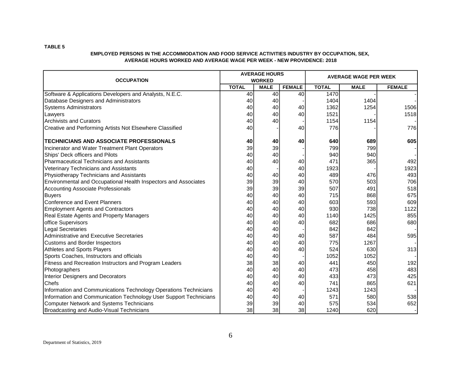|                                                                   |              | <b>AVERAGE HOURS</b> |               | <b>AVERAGE WAGE PER WEEK</b> |             |               |  |
|-------------------------------------------------------------------|--------------|----------------------|---------------|------------------------------|-------------|---------------|--|
| <b>OCCUPATION</b>                                                 |              | <b>WORKED</b>        |               |                              |             |               |  |
|                                                                   | <b>TOTAL</b> | <b>MALE</b>          | <b>FEMALE</b> | <b>TOTAL</b>                 | <b>MALE</b> | <b>FEMALE</b> |  |
| Software & Applications Developers and Analysts, N.E.C.           | 40           | 40                   | 40            | 1470                         |             |               |  |
| Database Designers and Administrators                             | 40           | 40                   |               | 1404                         | 1404        |               |  |
| <b>Systems Administrators</b>                                     | 40           | 40                   | 40            | 1362                         | 1254        | 1506          |  |
| Lawyers                                                           | 40           | 40                   | 40            | 1521                         |             | 1518          |  |
| Archivists and Curators                                           | 40           | 40                   |               | 1154                         | 1154        |               |  |
| Creative and Performing Artists Not Elsewhere Classified          | 40           |                      | 40            | 776                          |             | 776           |  |
| <b>TECHNICIANS AND ASSOCIATE PROFESSIONALS</b>                    | 40           | 40                   | 40            | 640                          | 689         | 605           |  |
| Incinerator and Water Treatment Plant Operators                   | 39           | 39                   |               | 799                          | 799         |               |  |
| Ships' Deck officers and Pilots                                   | 40           | 40                   |               | 940                          | 940         |               |  |
| Pharmaceutical Technicians and Assistants                         | 40           | 40                   | 40            | 471                          | 365         | 492           |  |
| Veterinary Technicians and Assistants                             | 40           |                      | 40            | 1923                         |             | 1923          |  |
| Physiotherapy Technicians and Assistants                          | 40           | 40                   | 40            | 489                          | 476         | 493           |  |
| Environmental and Occupational Health Inspectors and Associates   | 39           | 39                   | 40            | 570                          | 503         | 706           |  |
| Accounting Associate Professionals                                | 39           | 39                   | 39            | 507                          | 491         | 518           |  |
| Buyers                                                            | 40           | 40                   | 40            | 715                          | 868         | 675           |  |
| Conference and Event Planners                                     | 40           | 40                   | 40            | 603                          | 593         | 609           |  |
| <b>Employment Agents and Contractors</b>                          | 40           | 40                   | 40            | 930                          | 738         | 1122          |  |
| Real Estate Agents and Property Managers                          | 40           | 40                   | 40            | 1140                         | 1425        | 855           |  |
| office Supervisors                                                | 40           | 40                   | 40            | 682                          | 686         | 680           |  |
| Legal Secretaries                                                 | 40           | 40                   |               | 842                          | 842         |               |  |
| Administrative and Executive Secretaries                          | 40           | 40                   | 40            | 587                          | 484         | 595           |  |
| <b>Customs and Border Inspectors</b>                              | 40           | 40                   | 40            | 775                          | 1267        |               |  |
| Athletes and Sports Players                                       | 40           | 40                   | 40            | 524                          | 630         | 313           |  |
| Sports Coaches, Instructors and officials                         | 40           | 40                   |               | 1052                         | 1052        |               |  |
| Fitness and Recreation Instructors and Program Leaders            | 38           | 38                   | 40            | 441                          | 450         | 192           |  |
| Photographers                                                     | 40           | 40                   | 40            | 473                          | 458         | 483           |  |
| Interior Designers and Decorators                                 | 40           | 40                   | 40            | 433                          | 473         | 425           |  |
| <b>IChefs</b>                                                     | 40           | 40                   | 40            | 741                          | 865         | 621           |  |
| Information and Communications Technology Operations Technicians  | 40           | 40                   |               | 1243                         | 1243        |               |  |
| Information and Communication Technology User Support Technicians | 40           | 40                   | 40            | 571                          | 580         | 538           |  |
| <b>Computer Network and Systems Technicians</b>                   | 39           | 39                   | 40            | 575                          | 534         | 652           |  |
| Broadcasting and Audio-Visual Technicians                         | 38           | 38                   | 38            | 1240                         | 620         |               |  |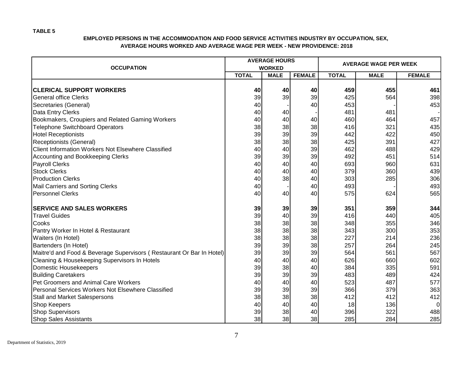| <b>OCCUPATION</b>                                                     |              | <b>AVERAGE HOURS</b><br><b>WORKED</b> |               | <b>AVERAGE WAGE PER WEEK</b> |             |                |  |
|-----------------------------------------------------------------------|--------------|---------------------------------------|---------------|------------------------------|-------------|----------------|--|
|                                                                       | <b>TOTAL</b> | <b>MALE</b>                           | <b>FEMALE</b> | <b>TOTAL</b>                 | <b>MALE</b> | <b>FEMALE</b>  |  |
|                                                                       |              |                                       |               |                              |             |                |  |
| <b>CLERICAL SUPPORT WORKERS</b>                                       | 40           | 40                                    | 40            | 459                          | 455         | 461            |  |
| <b>General office Clerks</b>                                          | 39           | 39                                    | 39            | 425                          | 564         | 398            |  |
| Secretaries (General)                                                 | 40           |                                       | 40            | 453                          |             | 453            |  |
| Data Entry Clerks                                                     | 40           | 40                                    |               | 481                          | 481         |                |  |
| Bookmakers, Croupiers and Related Gaming Workers                      | 40           | 40                                    | 40            | 460                          | 464         | 457            |  |
| <b>Telephone Switchboard Operators</b>                                | 38           | 38                                    | 38            | 416                          | 321         | 435            |  |
| <b>Hotel Receptionists</b>                                            | 39           | 39                                    | 39            | 442                          | 422         | 450            |  |
| Receptionists (General)                                               | 38           | 38                                    | 38            | 425                          | 391         | 427            |  |
| <b>Client Information Workers Not Elsewhere Classified</b>            | 40           | 40                                    | 39            | 462                          | 488         | 429            |  |
| Accounting and Bookkeeping Clerks                                     | 39           | 39                                    | 39            | 492                          | 451         | 514            |  |
| <b>Payroll Clerks</b>                                                 | 40           | 40                                    | 40            | 693                          | 960         | 631            |  |
| <b>Stock Clerks</b>                                                   | 40           | 40                                    | 40            | 379                          | 360         | 439            |  |
| <b>Production Clerks</b>                                              | 40           | 38                                    | 40            | 303                          | 285         | 306            |  |
| Mail Carriers and Sorting Clerks                                      | 40           |                                       | 40            | 493                          |             | 493            |  |
| <b>Personnel Clerks</b>                                               | 40           | 40                                    | 40            | 575                          | 624         | 565            |  |
| <b>SERVICE AND SALES WORKERS</b>                                      | 39           | 39                                    | 39            | 351                          | 359         | 344            |  |
| <b>Travel Guides</b>                                                  | 39           | 40                                    | 39            | 416                          | 440         | 405            |  |
| Cooks                                                                 | 38           | 38                                    | 38            | 348                          | 355         | 346            |  |
| Pantry Worker In Hotel & Restaurant                                   | 38           | 38                                    | 38            | 343                          | 300         | 353            |  |
| Waiters (In Hotel)                                                    | 38           | 38                                    | 38            | 227                          | 214         | 236            |  |
| Bartenders (In Hotel)                                                 | 39           | 39                                    | 38            | 257                          | 264         | 245            |  |
| Maitre'd and Food & Beverage Supervisors (Restaurant Or Bar In Hotel) | 39           | 39                                    | 39            | 564                          | 561         | 567            |  |
| Cleaning & Housekeeping Supervisors In Hotels                         | 40           | 40                                    | 40            | 626                          | 660         | 602            |  |
| <b>Domestic Housekeepers</b>                                          | 39           | 38                                    | 40            | 384                          | 335         | 591            |  |
| <b>Building Caretakers</b>                                            | 39           | 39                                    | 39            | 483                          | 489         | 424            |  |
| Pet Groomers and Animal Care Workers                                  | 40           | 40                                    | 40            | 523                          | 487         | 577            |  |
| Personal Services Workers Not Elsewhere Classified                    | 39           | 39                                    | 39            | 366                          | 379         | 363            |  |
| Stall and Market Salespersons                                         | 38           | 38                                    | 38            | 412                          | 412         | 412            |  |
| Shop Keepers                                                          | 40           | 40                                    | 40            | 18                           | 136         | $\overline{0}$ |  |
| <b>Shop Supervisors</b>                                               | 39           | 38                                    | 40            | 396                          | 322         | 488            |  |
| <b>Shop Sales Assistants</b>                                          | 38           | 38                                    | 38            | 285                          | 284         | 285            |  |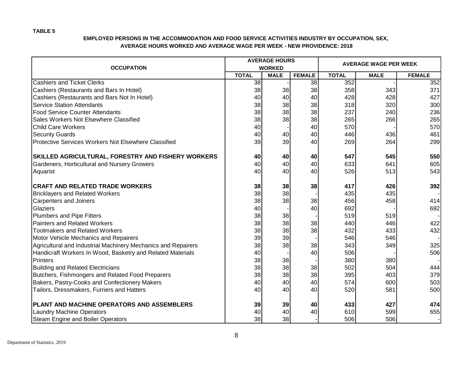|                                                               |              | <b>AVERAGE HOURS</b> |                 | <b>AVERAGE WAGE PER WEEK</b> |             |               |  |  |
|---------------------------------------------------------------|--------------|----------------------|-----------------|------------------------------|-------------|---------------|--|--|
| <b>OCCUPATION</b>                                             |              | <b>WORKED</b>        |                 |                              |             |               |  |  |
|                                                               | <b>TOTAL</b> | <b>MALE</b>          | <b>FEMALE</b>   | <b>TOTAL</b>                 | <b>MALE</b> | <b>FEMALE</b> |  |  |
| <b>Cashiers and Ticket Clerks</b>                             | 38           |                      | $\overline{38}$ | 352                          |             | 352           |  |  |
| Cashiers (Restaurants and Bars In Hotel)                      | 38           | 38                   | 38              | 358                          | 343         | 371           |  |  |
| Cashiers (Restaurants and Bars Not In Hotel)                  | 40           | 40                   | 40              | 428                          | 428         | 427           |  |  |
| <b>Service Station Attendants</b>                             | 38           | 38                   | 38              | 318                          | 320         | 300           |  |  |
| <b>Food Service Counter Attendants</b>                        | 38           | 38                   | 38              | 237                          | 240         | 236           |  |  |
| Sales Workers Not Elsewhere Classified                        | 38           | 38                   | 38              | 265                          | 266         | 265           |  |  |
| <b>Child Care Workers</b>                                     | 40           |                      | 40              | 570                          |             | 570           |  |  |
| <b>Security Guards</b>                                        | 40           | 40                   | 40              | 446                          | 436         | 461           |  |  |
| <b>Protective Services Workers Not Elsewhere Classified</b>   | 39           | 39                   | 40              | 269                          | 264         | 299           |  |  |
| SKILLED AGRICULTURAL, FORESTRY AND FISHERY WORKERS            | 40           | 40                   | 40              | 547                          | 545         | 550           |  |  |
| Gardeners, Horticultural and Nursery Growers                  | 40           | 40                   | 40              | 633                          | 641         | 605           |  |  |
| Aquarist                                                      | 40           | 40                   | 40              | 526                          | 513         | 543           |  |  |
| <b>CRAFT AND RELATED TRADE WORKERS</b>                        | 38           | 38                   | 38              | 417                          | 426         | 392           |  |  |
| <b>Bricklayers and Related Workers</b>                        | 38           | 38                   |                 | 435                          | 435         |               |  |  |
| Carpenters and Joiners                                        | 38           | 38                   | 38              | 456                          | 458         | 414           |  |  |
| Glaziers                                                      | 40           |                      | 40              | 692                          |             | 692           |  |  |
| <b>Plumbers and Pipe Fitters</b>                              | 38           | 38                   |                 | 519                          | 519         |               |  |  |
| <b>Painters and Related Workers</b>                           | 38           | 38                   | 38              | 440                          | 446         | 422           |  |  |
| <b>Toolmakers and Related Workers</b>                         | 38           | 38                   | 38              | 432                          | 433         | 432           |  |  |
| <b>Motor Vehicle Mechanics and Repairers</b>                  | 39           | 39                   |                 | 546                          | 546         |               |  |  |
| Agricultural and Industrial Machinery Mechanics and Repairers | 38           | 38                   | 38              | 343                          | 349         | 325           |  |  |
| Handicraft Workers In Wood, Basketry and Related Materials    | 40           |                      | 40              | 506                          |             | 506           |  |  |
| Printers                                                      | 38           | 38                   |                 | 380                          | 380         |               |  |  |
| <b>Building and Related Electricians</b>                      | 38           | 38                   | 38              | 502                          | 504         | 444           |  |  |
| Butchers, Fishmongers and Related Food Preparers              | 38           | 38                   | 38              | 395                          | 403         | 379           |  |  |
| Bakers, Pastry-Cooks and Confectionery Makers                 | 40           | 40                   | 40              | 574                          | 600         | 503           |  |  |
| Tailors, Dressmakers, Furriers and Hatters                    | 40           | 40                   | 40              | 520                          | 581         | 500           |  |  |
| PLANT AND MACHINE OPERATORS AND ASSEMBLERS                    | 39           | 39                   | 40              | 433                          | 427         | 474           |  |  |
| Laundry Machine Operators                                     | 40           | 40                   | 40              | 610                          | 599         | 655           |  |  |
| <b>Steam Engine and Boiler Operators</b>                      | 38           | 38                   |                 | 506                          | 506         |               |  |  |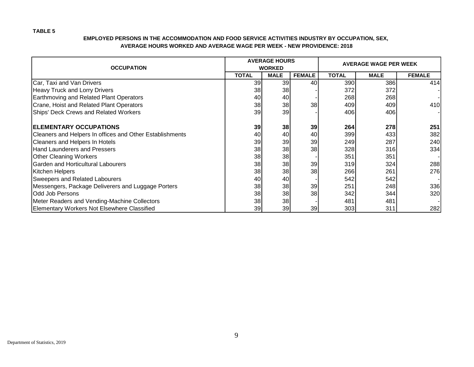| <b>OCCUPATION</b>                                        |              | <b>AVERAGE HOURS</b><br><b>WORKED</b> |                 | <b>AVERAGE WAGE PER WEEK</b> |             |               |  |  |
|----------------------------------------------------------|--------------|---------------------------------------|-----------------|------------------------------|-------------|---------------|--|--|
|                                                          | <b>TOTAL</b> | <b>MALE</b>                           | <b>FEMALE</b>   | <b>TOTAL</b>                 | <b>MALE</b> | <b>FEMALE</b> |  |  |
| Car, Taxi and Van Drivers                                | 39           | 39                                    | 40              | 390                          | 386         | 414           |  |  |
| <b>Heavy Truck and Lorry Drivers</b>                     | 38           | 38                                    |                 | 372                          | 372         |               |  |  |
| Earthmoving and Related Plant Operators                  | 40           | 40                                    |                 | 268                          | 268         |               |  |  |
| Crane, Hoist and Related Plant Operators                 | 38           | 38                                    | 38              | 409                          | 409         | 410           |  |  |
| Ships' Deck Crews and Related Workers                    | 39           | 39                                    |                 | 406                          | 406         |               |  |  |
| <b>IELEMENTARY OCCUPATIONS</b>                           | 39           | 38                                    | 39              | 264                          | 278         | 251           |  |  |
| Cleaners and Helpers In offices and Other Establishments | 40           | 40                                    | 40              | 399                          | 433         | 382           |  |  |
| Cleaners and Helpers In Hotels                           | 39           | 39                                    | 39              | 249                          | 287         | 240           |  |  |
| Hand Launderers and Pressers                             | 38           | 38                                    | 38              | 328                          | 316         | 334           |  |  |
| <b>Other Cleaning Workers</b>                            | 38           | 38                                    |                 | 351                          | 351         |               |  |  |
| Garden and Horticultural Labourers                       | 38           | 38                                    | 39              | 319                          | 324         | 288           |  |  |
| Kitchen Helpers                                          | 38           | 38                                    | 38              | 266                          | 261         | 276           |  |  |
| <b>Sweepers and Related Labourers</b>                    | 40           | 40                                    |                 | 542                          | 542         |               |  |  |
| Messengers, Package Deliverers and Luggage Porters       | 38           | 38                                    | 39              | 251                          | 248         | 336           |  |  |
| <b>Odd Job Persons</b>                                   | 38           | 38                                    | 38              | 342                          | 344         | 320           |  |  |
| Meter Readers and Vending-Machine Collectors             | 38           | 38                                    |                 | 481                          | 481         |               |  |  |
| Elementary Workers Not Elsewhere Classified              | 39           | 39                                    | 39 <sub>l</sub> | 303                          | 311         | 282           |  |  |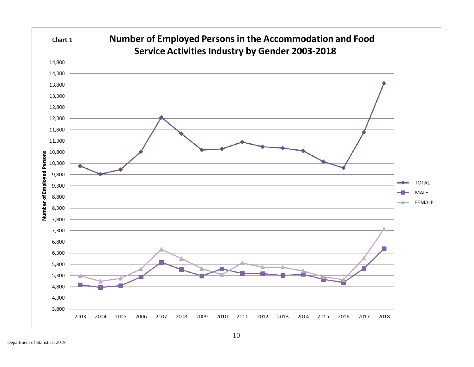